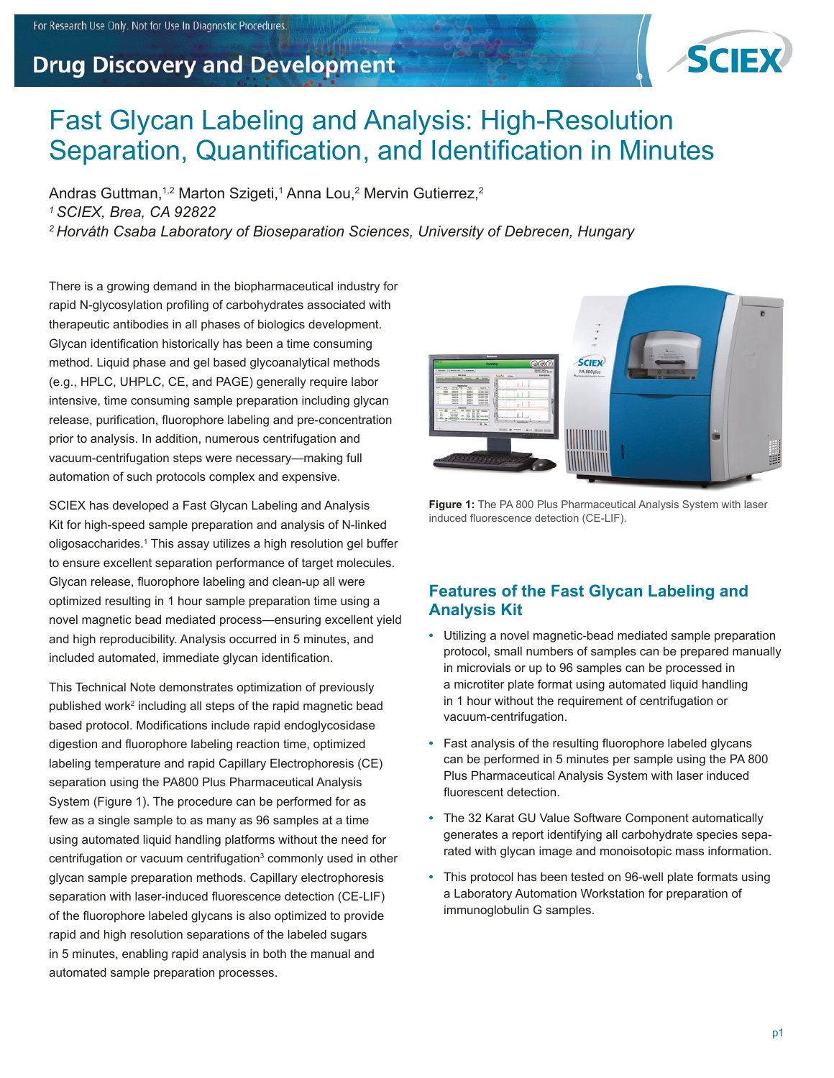## Fast Glycan Labeling and Analysis: High-Resolution Separation, Quantification, and Identification in Minutes

Andras Guttman,<sup>1,2</sup> Marton Szigeti,<sup>1</sup> Anna Lou,<sup>2</sup> Mervin Gutierrez,<sup>2</sup> *1 SCIEX, Brea, CA 92822 2 Horváth Csaba Laboratory of Bioseparation Sciences, University of Debrecen, Hungary*

There is a growing demand in the biopharmaceutical industry for rapid N-glycosylation profiling of carbohydrates associated with therapeutic antibodies in all phases of biologics development. Glycan identification historically has been a time consuming method. Liquid phase and gel based glycoanalytical methods (e.g., HPLC, UHPLC, CE, and PAGE) generally require labor intensive, time consuming sample preparation including glycan release, purification, fluorophore labeling and pre-concentration prior to analysis. In addition, numerous centrifugation and vacuum-centrifugation steps were necessary—making full automation of such protocols complex and expensive.

SCIEX has developed a Fast Glycan Labeling and Analysis Kit for high-speed sample preparation and analysis of N-linked oligosaccharides.<sup>1</sup> This assay utilizes a high resolution gel buffer to ensure excellent separation performance of target molecules. Glycan release, fluorophore labeling and clean-up all were optimized resulting in 1 hour sample preparation time using a novel magnetic bead mediated process—ensuring excellent yield and high reproducibility. Analysis occurred in 5 minutes, and included automated, immediate glycan identification.

This Technical Note demonstrates optimization of previously published work<sup>2</sup> including all steps of the rapid magnetic bead based protocol. Modifications include rapid endoglycosidase digestion and fluorophore labeling reaction time, optimized labeling temperature and rapid Capillary Electrophoresis (CE) separation using the PA800 Plus Pharmaceutical Analysis System (Figure 1). The procedure can be performed for as few as a single sample to as many as 96 samples at a time using automated liquid handling platforms without the need for centrifugation or vacuum centrifugation<sup>3</sup> commonly used in other glycan sample preparation methods. Capillary electrophoresis separation with laser-induced fluorescence detection (CE-LIF) of the fluorophore labeled glycans is also optimized to provide rapid and high resolution separations of the labeled sugars in 5 minutes, enabling rapid analysis in both the manual and automated sample preparation processes.



**SCIEX** 

**Figure 1:** The PA 800 Plus Pharmaceutical Analysis System with laser induced fluorescence detection (CE-LIF).

### **Features of the Fast Glycan Labeling and Analysis Kit**

- **•** Utilizing a novel magnetic-bead mediated sample preparation protocol, small numbers of samples can be prepared manually in microvials or up to 96 samples can be processed in a microtiter plate format using automated liquid handling in 1 hour without the requirement of centrifugation or vacuum-centrifugation.
- **•** Fast analysis of the resulting fluorophore labeled glycans can be performed in 5 minutes per sample using the PA 800 Plus Pharmaceutical Analysis System with laser induced fluorescent detection.
- **•** The 32 Karat GU Value Software Component automatically generates a report identifying all carbohydrate species separated with glycan image and monoisotopic mass information.
- **•** This protocol has been tested on 96-well plate formats using a Laboratory Automation Workstation for preparation of immunoglobulin G samples.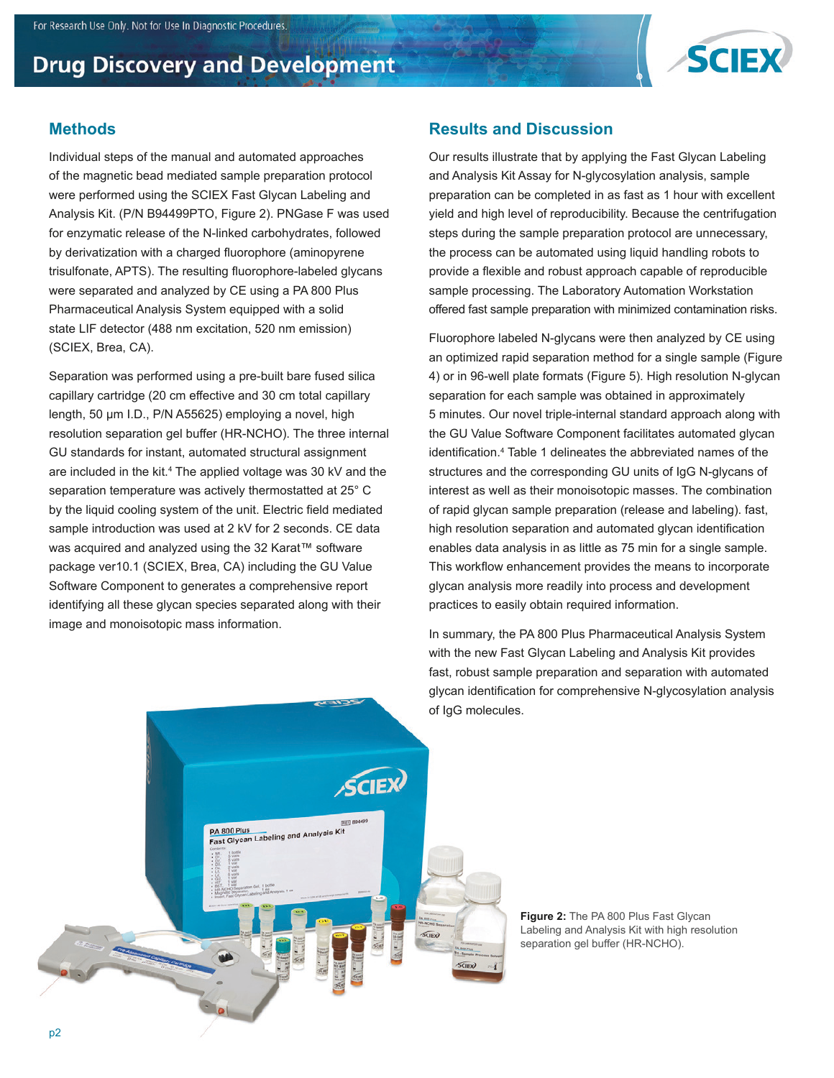

### **Methods**

Individual steps of the manual and automated approaches of the magnetic bead mediated sample preparation protocol were performed using the SCIEX Fast Glycan Labeling and Analysis Kit. (P/N B94499PTO, Figure 2). PNGase F was used for enzymatic release of the N-linked carbohydrates, followed by derivatization with a charged fluorophore (aminopyrene trisulfonate, APTS). The resulting fluorophore-labeled glycans were separated and analyzed by CE using a PA 800 Plus Pharmaceutical Analysis System equipped with a solid state LIF detector (488 nm excitation, 520 nm emission) (SCIEX, Brea, CA).

Separation was performed using a pre-built bare fused silica capillary cartridge (20 cm effective and 30 cm total capillary length, 50 μm I.D., P/N A55625) employing a novel, high resolution separation gel buffer (HR-NCHO). The three internal GU standards for instant, automated structural assignment are included in the kit.<sup>4</sup> The applied voltage was 30 kV and the separation temperature was actively thermostatted at 25° C by the liquid cooling system of the unit. Electric field mediated sample introduction was used at 2 kV for 2 seconds. CE data was acquired and analyzed using the 32 Karat™ software package ver10.1 (SCIEX, Brea, CA) including the GU Value Software Component to generates a comprehensive report identifying all these glycan species separated along with their image and monoisotopic mass information.

### **Results and Discussion**

Our results illustrate that by applying the Fast Glycan Labeling and Analysis Kit Assay for N-glycosylation analysis, sample preparation can be completed in as fast as 1 hour with excellent yield and high level of reproducibility. Because the centrifugation steps during the sample preparation protocol are unnecessary, the process can be automated using liquid handling robots to provide a flexible and robust approach capable of reproducible sample processing. The Laboratory Automation Workstation offered fast sample preparation with minimized contamination risks.

Fluorophore labeled N-glycans were then analyzed by CE using an optimized rapid separation method for a single sample (Figure 4) or in 96-well plate formats (Figure 5). High resolution N-glycan separation for each sample was obtained in approximately 5 minutes. Our novel triple-internal standard approach along with the GU Value Software Component facilitates automated glycan identification.4 Table 1 delineates the abbreviated names of the structures and the corresponding GU units of IgG N-glycans of interest as well as their monoisotopic masses. The combination of rapid glycan sample preparation (release and labeling). fast, high resolution separation and automated glycan identification enables data analysis in as little as 75 min for a single sample. This workflow enhancement provides the means to incorporate glycan analysis more readily into process and development practices to easily obtain required information.

In summary, the PA 800 Plus Pharmaceutical Analysis System with the new Fast Glycan Labeling and Analysis Kit provides fast, robust sample preparation and separation with automated glycan identification for comprehensive N-glycosylation analysis of IgG molecules.



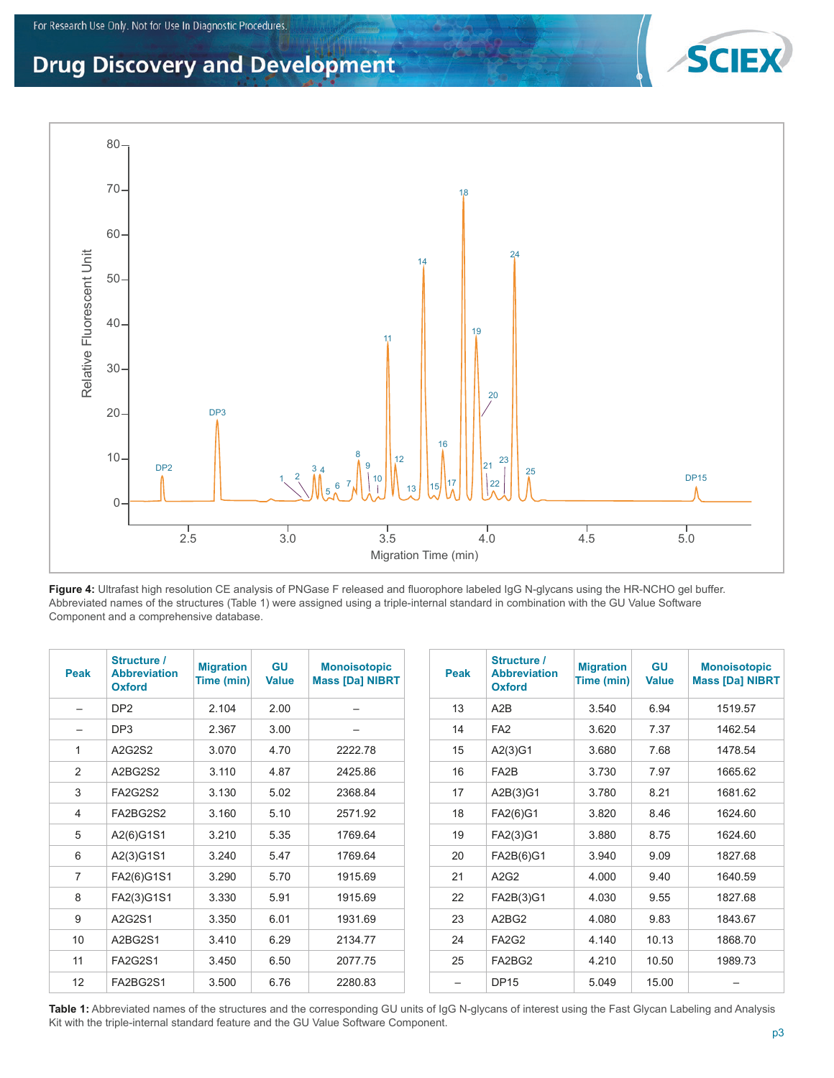

**Figure 4:** Ultrafast high resolution CE analysis of PNGase F released and fluorophore labeled IgG N-glycans using the HR-NCHO gel buffer. Abbreviated names of the structures (Table 1) were assigned using a triple-internal standard in combination with the GU Value Software Component and a comprehensive database.

| <b>Peak</b>       | Structure /<br><b>Abbreviation</b><br><b>Oxford</b> | <b>Migration</b><br>Time (min) | <b>GU</b><br><b>Value</b> | <b>Monoisotopic</b><br><b>Mass [Da] NIBRT</b> | <b>Peak</b> | Structure /<br><b>Abbreviation</b><br><b>Oxford</b> | <b>Migration</b><br>Time (min) | <b>GU</b><br><b>Value</b> | <b>Monoisotopic</b><br><b>Mass [Da] NIBRT</b> |
|-------------------|-----------------------------------------------------|--------------------------------|---------------------------|-----------------------------------------------|-------------|-----------------------------------------------------|--------------------------------|---------------------------|-----------------------------------------------|
| $\qquad \qquad -$ | DP <sub>2</sub>                                     | 2.104                          | 2.00                      | —                                             | 13          | A2B                                                 | 3.540                          | 6.94                      | 1519.57                                       |
| $\qquad \qquad$   | DP <sub>3</sub>                                     | 2.367                          | 3.00                      | $\overline{\phantom{0}}$                      | 14          | FA <sub>2</sub>                                     | 3.620                          | 7.37                      | 1462.54                                       |
| 1                 | A2G2S2                                              | 3.070                          | 4.70                      | 2222.78                                       | 15          | A2(3)G1                                             | 3.680                          | 7.68                      | 1478.54                                       |
| $\overline{2}$    | A2BG2S2                                             | 3.110                          | 4.87                      | 2425.86                                       | 16          | FA <sub>2</sub> B                                   | 3.730                          | 7.97                      | 1665.62                                       |
| 3                 | <b>FA2G2S2</b>                                      | 3.130                          | 5.02                      | 2368.84                                       | 17          | A2B(3)G1                                            | 3.780                          | 8.21                      | 1681.62                                       |
| 4                 | FA2BG2S2                                            | 3.160                          | 5.10                      | 2571.92                                       | 18          | FA2(6)G1                                            | 3.820                          | 8.46                      | 1624.60                                       |
| 5                 | A2(6)G1S1                                           | 3.210                          | 5.35                      | 1769.64                                       | 19          | FA2(3)G1                                            | 3.880                          | 8.75                      | 1624.60                                       |
| 6                 | A2(3)G1S1                                           | 3.240                          | 5.47                      | 1769.64                                       | 20          | FA2B(6)G1                                           | 3.940                          | 9.09                      | 1827.68                                       |
| $\overline{7}$    | FA2(6)G1S1                                          | 3.290                          | 5.70                      | 1915.69                                       | 21          | A2G2                                                | 4.000                          | 9.40                      | 1640.59                                       |
| 8                 | FA2(3)G1S1                                          | 3.330                          | 5.91                      | 1915.69                                       | 22          | FA2B(3)G1                                           | 4.030                          | 9.55                      | 1827.68                                       |
| 9                 | A2G2S1                                              | 3.350                          | 6.01                      | 1931.69                                       | 23          | A2BG2                                               | 4.080                          | 9.83                      | 1843.67                                       |
| 10                | A2BG2S1                                             | 3.410                          | 6.29                      | 2134.77                                       | 24          | FA <sub>2</sub> G <sub>2</sub>                      | 4.140                          | 10.13                     | 1868.70                                       |
| 11                | <b>FA2G2S1</b>                                      | 3.450                          | 6.50                      | 2077.75                                       | 25          | FA2BG2                                              | 4.210                          | 10.50                     | 1989.73                                       |
| 12                | FA2BG2S1                                            | 3.500                          | 6.76                      | 2280.83                                       | -           | <b>DP15</b>                                         | 5.049                          | 15.00                     |                                               |

Table 1: Abbreviated names of the structures and the corresponding GU units of IgG N-glycans of interest using the Fast Glycan Labeling and Analysis Kit with the triple-internal standard feature and the GU Value Software Component.

**SCIE**